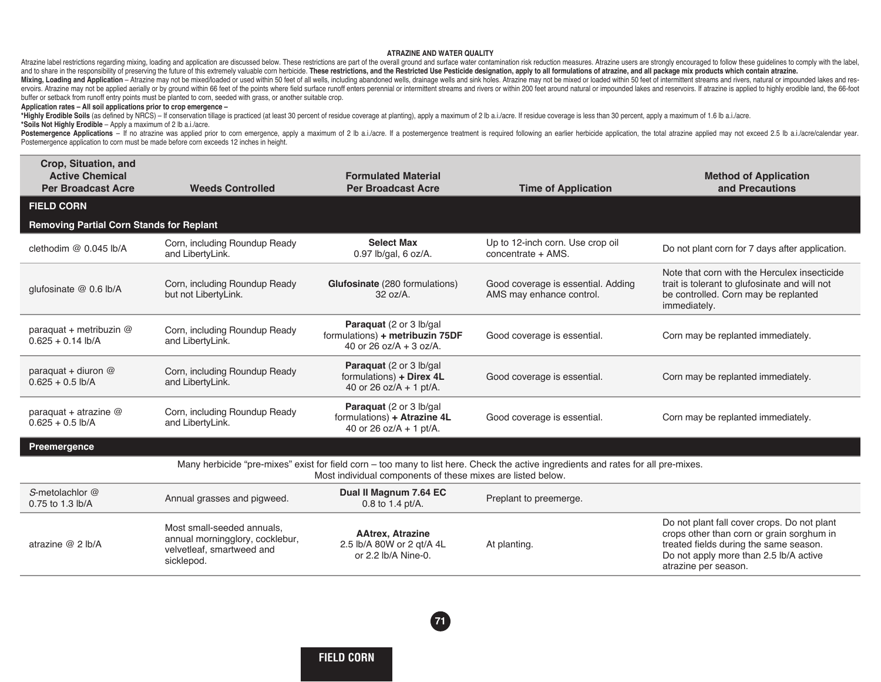## **ATRAZINE AND WATER QUALITY**

Atrazine label restrictions regarding mixing, loading and application are discussed below. These restrictions are part of the overall ground and surface water contamination risk reduction measures. Atrazine users are stron and to share in the responsibility of preserving the future of this extremely valuable com herbicide. These restrictions, and the Restricted Use Pesticide designation, apply to all formulations of atrazine, and all package Mixing, Loading and Application - Atrazine may not be mixed/loaded or used within 50 feet of all wells, including abandoned wells, drainage wells and sink holes. Atrazine may not be mixed or loaded within 50 feet of interm ervoirs. Atrazine may not be applied aerially or by ground within 66 feet of the points where field surface runoff enters perennial or intermittent streams and rivers or within 200 feet around natural or impounded lakes an buffer or setback from runoff entry points must be planted to corn, seeded with grass, or another suitable crop.

## **Application rates – All soil applications prior to crop emergence –**

\*Highly Erodible Soils (as defined by NRCS) - If conservation tillage is practiced (at least 30 percent of residue coverage at planting), apply a maximum of 2 lb a.i./acre. If residue coverage is less than 30 percent, appl **\*Soils Not Highly Erodible** – Apply a maximum of 2 lb a.i./acre.

Postemergence Applications - If no atrazine was applied prior to corn emergence, apply a maximum of 2 lb a.i./acre. If a postemergence treatment is required following an earlier herbicide application, the total atrazine ap Postemergence application to corn must be made before corn exceeds 12 inches in height.

| Crop, Situation, and<br><b>Active Chemical</b><br><b>Per Broadcast Acre</b> | <b>Weeds Controlled</b>                                                                                  | <b>Formulated Material</b><br><b>Per Broadcast Acre</b>                                  | <b>Time of Application</b>                                                                                                         | <b>Method of Application</b><br>and Precautions                                                                                                                                                      |
|-----------------------------------------------------------------------------|----------------------------------------------------------------------------------------------------------|------------------------------------------------------------------------------------------|------------------------------------------------------------------------------------------------------------------------------------|------------------------------------------------------------------------------------------------------------------------------------------------------------------------------------------------------|
| <b>FIELD CORN</b>                                                           |                                                                                                          |                                                                                          |                                                                                                                                    |                                                                                                                                                                                                      |
| <b>Removing Partial Corn Stands for Replant</b>                             |                                                                                                          |                                                                                          |                                                                                                                                    |                                                                                                                                                                                                      |
| clethodim @ 0.045 lb/A                                                      | Corn, including Roundup Ready<br>and LibertyLink.                                                        | <b>Select Max</b><br>0.97 lb/gal, 6 oz/A.                                                | Up to 12-inch corn. Use crop oil<br>concentrate + AMS.                                                                             | Do not plant corn for 7 days after application.                                                                                                                                                      |
| glufosinate @ 0.6 lb/A                                                      | Corn, including Roundup Ready<br>but not LibertyLink.                                                    | Glufosinate (280 formulations)<br>$32 oz/A$ .                                            | Good coverage is essential. Adding<br>AMS may enhance control.                                                                     | Note that corn with the Herculex insecticide<br>trait is tolerant to glufosinate and will not<br>be controlled. Corn may be replanted<br>immediately.                                                |
| paraquat + metribuzin @<br>$0.625 + 0.14$ lb/A                              | Corn, including Roundup Ready<br>and LibertyLink.                                                        | Paraquat (2 or 3 lb/gal<br>formulations) + metribuzin 75DF<br>40 or 26 $oz/A + 3$ oz/A.  | Good coverage is essential.                                                                                                        | Corn may be replanted immediately.                                                                                                                                                                   |
| paraquat + diuron $@$<br>$0.625 + 0.5$ lb/A                                 | Corn, including Roundup Ready<br>and LibertyLink.                                                        | Paraguat (2 or 3 lb/gal)<br>formulations) + Direx 4L<br>40 or 26 oz/A + 1 pt/A.          | Good coverage is essential.                                                                                                        | Corn may be replanted immediately.                                                                                                                                                                   |
| paraquat + atrazine $@$<br>$0.625 + 0.5$ lb/A                               | Corn, including Roundup Ready<br>and LibertyLink.                                                        | Paraquat (2 or 3 lb/gal<br>formulations) + Atrazine 4L<br>40 or 26 oz/ $A + 1$ pt/ $A$ . | Good coverage is essential.                                                                                                        | Corn may be replanted immediately.                                                                                                                                                                   |
| Preemergence                                                                |                                                                                                          |                                                                                          |                                                                                                                                    |                                                                                                                                                                                                      |
|                                                                             |                                                                                                          | Most individual components of these mixes are listed below.                              | Many herbicide "pre-mixes" exist for field corn - too many to list here. Check the active ingredients and rates for all pre-mixes. |                                                                                                                                                                                                      |
| S-metolachlor @<br>0.75 to 1.3 lb/A                                         | Annual grasses and pigweed.                                                                              | Dual II Magnum 7.64 EC<br>0.8 to 1.4 pt/A.                                               | Preplant to preemerge.                                                                                                             |                                                                                                                                                                                                      |
| atrazine @ 2 lb/A                                                           | Most small-seeded annuals.<br>annual morningglory, cocklebur,<br>velvetleaf, smartweed and<br>sicklepod. | <b>AAtrex, Atrazine</b><br>2.5 lb/A 80W or 2 gt/A 4L<br>or 2.2 lb/A Nine-0.              | At planting.                                                                                                                       | Do not plant fall cover crops. Do not plant<br>crops other than corn or grain sorghum in<br>treated fields during the same season.<br>Do not apply more than 2.5 lb/A active<br>atrazine per season. |

**71**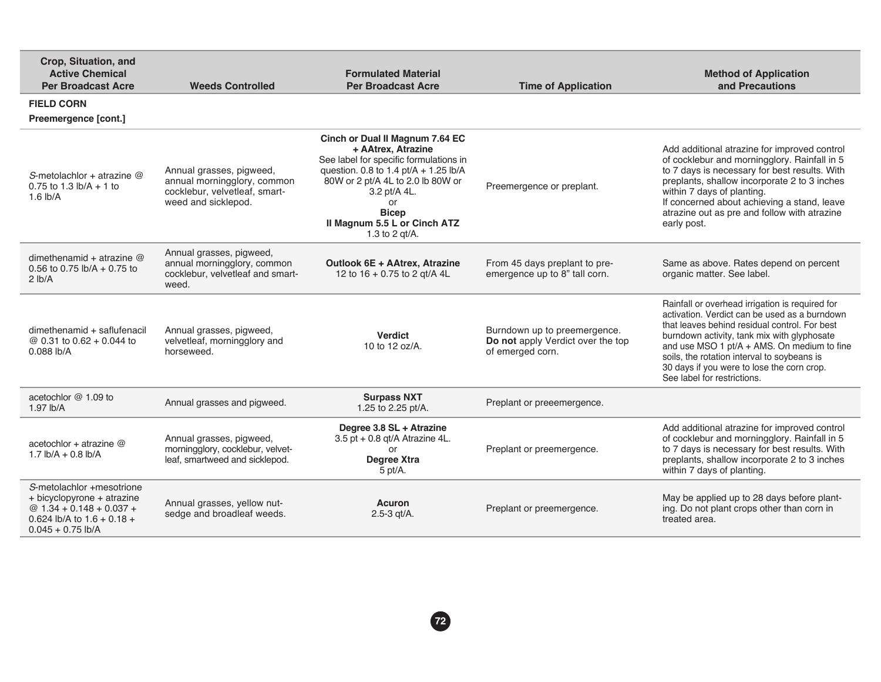| Crop, Situation, and<br><b>Active Chemical</b><br><b>Per Broadcast Acre</b>                                                                  | <b>Weeds Controlled</b>                                                                                         | <b>Formulated Material</b><br><b>Per Broadcast Acre</b>                                                                                                                                                                                                                  | <b>Time of Application</b>                                                            | <b>Method of Application</b><br>and Precautions                                                                                                                                                                                                                                                                                                                             |
|----------------------------------------------------------------------------------------------------------------------------------------------|-----------------------------------------------------------------------------------------------------------------|--------------------------------------------------------------------------------------------------------------------------------------------------------------------------------------------------------------------------------------------------------------------------|---------------------------------------------------------------------------------------|-----------------------------------------------------------------------------------------------------------------------------------------------------------------------------------------------------------------------------------------------------------------------------------------------------------------------------------------------------------------------------|
| <b>FIELD CORN</b><br>Preemergence [cont.]                                                                                                    |                                                                                                                 |                                                                                                                                                                                                                                                                          |                                                                                       |                                                                                                                                                                                                                                                                                                                                                                             |
| S-metolachlor + atrazine $@$<br>0.75 to 1.3 $\frac{1}{2}$ h/A + 1 to<br>$1.6$ lb/A                                                           | Annual grasses, pigweed,<br>annual morningglory, common<br>cocklebur, velvetleaf, smart-<br>weed and sicklepod. | Cinch or Dual II Magnum 7.64 EC<br>+ AAtrex, Atrazine<br>See label for specific formulations in<br>question. 0.8 to 1.4 pt/A + 1.25 lb/A<br>80W or 2 pt/A 4L to 2.0 lb 80W or<br>3.2 pt/A 4L.<br>or<br><b>Bicep</b><br>Il Magnum 5.5 L or Cinch ATZ<br>1.3 to 2 $qt/A$ . | Preemergence or preplant.                                                             | Add additional atrazine for improved control<br>of cocklebur and morningglory. Rainfall in 5<br>to 7 days is necessary for best results. With<br>preplants, shallow incorporate 2 to 3 inches<br>within 7 days of planting.<br>If concerned about achieving a stand, leave<br>atrazine out as pre and follow with atrazine<br>early post.                                   |
| dimethenamid + atrazine $@$<br>0.56 to 0.75 $\frac{1}{2}$ b/A + 0.75 to<br>2 lb/A                                                            | Annual grasses, pigweed,<br>annual morningglory, common<br>cocklebur, velvetleaf and smart-<br>weed.            | Outlook 6E + AAtrex, Atrazine<br>12 to 16 + 0.75 to 2 gt/A 4L                                                                                                                                                                                                            | From 45 days preplant to pre-<br>emergence up to 8" tall corn.                        | Same as above. Rates depend on percent<br>organic matter. See label.                                                                                                                                                                                                                                                                                                        |
| dimethenamid + saflufenacil<br>@ 0.31 to 0.62 + 0.044 to<br>$0.088$ lb/A                                                                     | Annual grasses, pigweed,<br>velvetleaf, morningglory and<br>horseweed.                                          | <b>Verdict</b><br>10 to 12 oz/A.                                                                                                                                                                                                                                         | Burndown up to preemergence.<br>Do not apply Verdict over the top<br>of emerged corn. | Rainfall or overhead irrigation is required for<br>activation. Verdict can be used as a burndown<br>that leaves behind residual control. For best<br>burndown activity, tank mix with glyphosate<br>and use MSO 1 pt/A + AMS. On medium to fine<br>soils, the rotation interval to soybeans is<br>30 days if you were to lose the corn crop.<br>See label for restrictions. |
| acetochlor @ 1.09 to<br>$1.97$ lb/A                                                                                                          | Annual grasses and pigweed.                                                                                     | <b>Surpass NXT</b><br>1.25 to 2.25 pt/A.                                                                                                                                                                                                                                 | Preplant or preeemergence.                                                            |                                                                                                                                                                                                                                                                                                                                                                             |
| acetochlor + atrazine $@$<br>$1.7$ lb/A + 0.8 lb/A                                                                                           | Annual grasses, pigweed,<br>morningglory, cocklebur, velvet-<br>leaf, smartweed and sicklepod.                  | Degree 3.8 SL + Atrazine<br>3.5 pt + 0.8 qt/A Atrazine 4L.<br>Degree Xtra<br>5 pt/A.                                                                                                                                                                                     | Preplant or preemergence.                                                             | Add additional atrazine for improved control<br>of cocklebur and morningglory. Rainfall in 5<br>to 7 days is necessary for best results. With<br>preplants, shallow incorporate 2 to 3 inches<br>within 7 days of planting.                                                                                                                                                 |
| S-metolachlor +mesotrione<br>+ bicyclopyrone + atrazine<br>@ $1.34 + 0.148 + 0.037 +$<br>0.624 lb/A to $1.6 + 0.18 +$<br>$0.045 + 0.75$ lb/A | Annual grasses, yellow nut-<br>sedge and broadleaf weeds.                                                       | <b>Acuron</b><br>$2.5 - 3$ gt/A.                                                                                                                                                                                                                                         | Preplant or preemergence.                                                             | May be applied up to 28 days before plant-<br>ing. Do not plant crops other than corn in<br>treated area.                                                                                                                                                                                                                                                                   |

**72**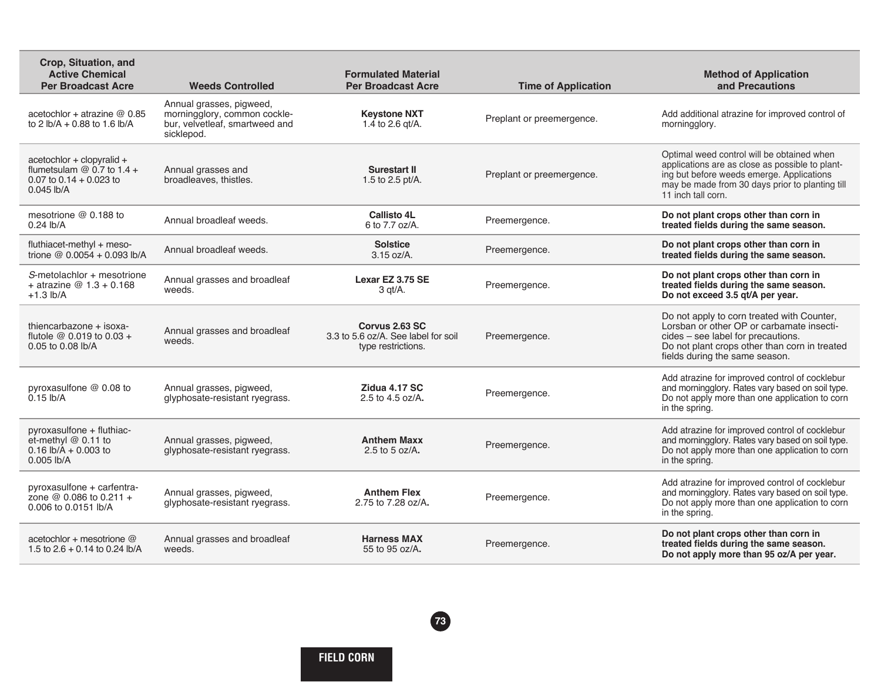| Crop, Situation, and<br><b>Active Chemical</b><br><b>Per Broadcast Acre</b>                            | <b>Weeds Controlled</b>                                                                                  | <b>Formulated Material</b><br><b>Per Broadcast Acre</b>                     | <b>Time of Application</b> | <b>Method of Application</b><br>and Precautions                                                                                                                                                                     |
|--------------------------------------------------------------------------------------------------------|----------------------------------------------------------------------------------------------------------|-----------------------------------------------------------------------------|----------------------------|---------------------------------------------------------------------------------------------------------------------------------------------------------------------------------------------------------------------|
| acetochlor + atrazine $@$ 0.85<br>to 2 lb/A + 0.88 to 1.6 lb/A                                         | Annual grasses, pigweed,<br>morningglory, common cockle-<br>bur, velvetleaf, smartweed and<br>sicklepod. | <b>Keystone NXT</b><br>1.4 to 2.6 gt/A.                                     | Preplant or preemergence.  | Add additional atrazine for improved control of<br>morningglory.                                                                                                                                                    |
| acetochlor + clopyralid +<br>flumetsulam $@$ 0.7 to 1.4 +<br>0.07 to $0.14 + 0.023$ to<br>$0.045$ lb/A | Annual grasses and<br>broadleaves, thistles.                                                             | <b>Surestart II</b><br>1.5 to 2.5 pt/A.                                     | Preplant or preemergence.  | Optimal weed control will be obtained when<br>applications are as close as possible to plant-<br>ing but before weeds emerge. Applications<br>may be made from 30 days prior to planting till<br>11 inch tall corn. |
| mesotrione $@$ 0.188 to<br>$0.24$ lb/A                                                                 | Annual broadleaf weeds.                                                                                  | <b>Callisto 4L</b><br>6 to 7.7 oz/A.                                        | Preemergence.              | Do not plant crops other than corn in<br>treated fields during the same season.                                                                                                                                     |
| fluthiacet-methyl + meso-<br>trione @ 0.0054 + 0.093 lb/A                                              | Annual broadleaf weeds.                                                                                  | <b>Solstice</b><br>3.15 oz/A.                                               | Preemergence.              | Do not plant crops other than corn in<br>treated fields during the same season.                                                                                                                                     |
| S-metolachlor + mesotrione<br>+ atrazine $@1.3 + 0.168$<br>$+1.3$ lb/A                                 | Annual grasses and broadleaf<br>weeds.                                                                   | Lexar EZ 3.75 SE<br>3 gt/A.                                                 | Preemergence.              | Do not plant crops other than corn in<br>treated fields during the same season.<br>Do not exceed 3.5 gt/A per year.                                                                                                 |
| thiencarbazone + isoxa-<br>flutole $@ 0.019$ to $0.03 +$<br>0.05 to 0.08 lb/A                          | Annual grasses and broadleaf<br>weeds.                                                                   | Corvus 2.63 SC<br>3.3 to 5.6 oz/A. See label for soil<br>type restrictions. | Preemergence.              | Do not apply to corn treated with Counter,<br>Lorsban or other OP or carbamate insecti-<br>cides - see label for precautions.<br>Do not plant crops other than corn in treated<br>fields during the same season.    |
| pyroxasulfone @ 0.08 to<br>$0.15$ lb/A                                                                 | Annual grasses, pigweed,<br>glyphosate-resistant ryegrass.                                               | Zidua 4.17 SC<br>2.5 to 4.5 oz/A.                                           | Preemergence.              | Add atrazine for improved control of cocklebur<br>and morningglory. Rates vary based on soil type.<br>Do not apply more than one application to corn<br>in the spring.                                              |
| pyroxasulfone + fluthiac-<br>et-methyl @ 0.11 to<br>$0.16$ lb/A + 0.003 to<br>$0.005$ lb/A             | Annual grasses, pigweed,<br>glyphosate-resistant ryegrass.                                               | <b>Anthem Maxx</b><br>2.5 to 5 oz/A.                                        | Preemergence.              | Add atrazine for improved control of cocklebur<br>and morningglory. Rates vary based on soil type.<br>Do not apply more than one application to corn<br>in the spring.                                              |
| pyroxasulfone + carfentra-<br>zone $@0.086$ to 0.211 +<br>0.006 to 0.0151 lb/A                         | Annual grasses, pigweed,<br>glyphosate-resistant ryegrass.                                               | <b>Anthem Flex</b><br>2.75 to 7.28 oz/A.                                    | Preemergence.              | Add atrazine for improved control of cocklebur<br>and morningglory. Rates vary based on soil type.<br>Do not apply more than one application to corn<br>in the spring.                                              |
| acetochlor + mesotrione @<br>1.5 to $2.6 + 0.14$ to 0.24 lb/A                                          | Annual grasses and broadleaf<br>weeds.                                                                   | <b>Harness MAX</b><br>55 to 95 oz/A.                                        | Preemergence.              | Do not plant crops other than corn in<br>treated fields during the same season.<br>Do not apply more than 95 oz/A per year.                                                                                         |

**FIELD CORN**

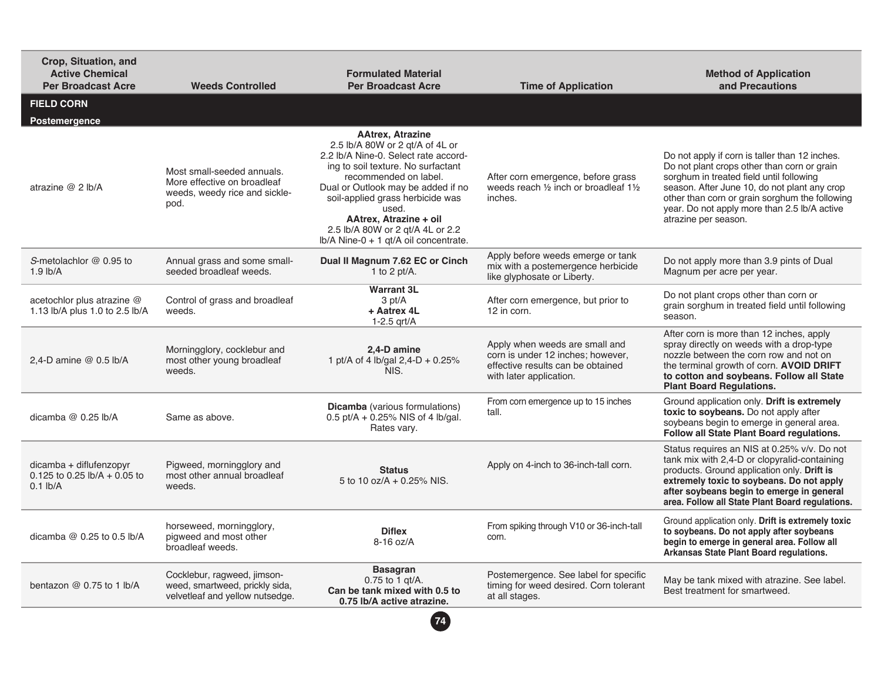| Crop, Situation, and<br><b>Active Chemical</b><br><b>Per Broadcast Acre</b> | <b>Weeds Controlled</b>                                                                            | <b>Formulated Material</b><br><b>Per Broadcast Acre</b>                                                                                                                                                                                                                                                                                                     | <b>Time of Application</b>                                                                                                          | <b>Method of Application</b><br>and Precautions                                                                                                                                                                                                                                                                     |
|-----------------------------------------------------------------------------|----------------------------------------------------------------------------------------------------|-------------------------------------------------------------------------------------------------------------------------------------------------------------------------------------------------------------------------------------------------------------------------------------------------------------------------------------------------------------|-------------------------------------------------------------------------------------------------------------------------------------|---------------------------------------------------------------------------------------------------------------------------------------------------------------------------------------------------------------------------------------------------------------------------------------------------------------------|
| <b>FIELD CORN</b><br>Postemergence                                          |                                                                                                    |                                                                                                                                                                                                                                                                                                                                                             |                                                                                                                                     |                                                                                                                                                                                                                                                                                                                     |
| atrazine @ 2 lb/A                                                           | Most small-seeded annuals.<br>More effective on broadleaf<br>weeds, weedy rice and sickle-<br>pod. | <b>AAtrex. Atrazine</b><br>2.5 lb/A 80W or 2 qt/A of 4L or<br>2.2 lb/A Nine-0. Select rate accord-<br>ing to soil texture. No surfactant<br>recommended on label.<br>Dual or Outlook may be added if no<br>soil-applied grass herbicide was<br>used.<br>AAtrex. Atrazine + oil<br>2.5 lb/A 80W or 2 gt/A 4L or 2.2<br>Ib/A Nine-0 + 1 gt/A oil concentrate. | After corn emergence, before grass<br>weeds reach 1/2 inch or broadleaf 11/2<br>inches.                                             | Do not apply if corn is taller than 12 inches.<br>Do not plant crops other than corn or grain<br>sorghum in treated field until following<br>season. After June 10, do not plant any crop<br>other than corn or grain sorghum the following<br>year. Do not apply more than 2.5 lb/A active<br>atrazine per season. |
| S-metolachlor @ 0.95 to<br>$1.9$ lb/A                                       | Annual grass and some small-<br>seeded broadleaf weeds.                                            | Dual II Magnum 7.62 EC or Cinch<br>1 to 2 pt/ $A$ .                                                                                                                                                                                                                                                                                                         | Apply before weeds emerge or tank<br>mix with a postemergence herbicide<br>like glyphosate or Liberty.                              | Do not apply more than 3.9 pints of Dual<br>Magnum per acre per year.                                                                                                                                                                                                                                               |
| acetochlor plus atrazine @<br>1.13 lb/A plus 1.0 to 2.5 lb/A                | Control of grass and broadleaf<br>weeds.                                                           | <b>Warrant 3L</b><br>3 pt/A<br>+ Aatrex 4L<br>$1-2.5$ grt/A                                                                                                                                                                                                                                                                                                 | After corn emergence, but prior to<br>12 in corn.                                                                                   | Do not plant crops other than corn or<br>grain sorghum in treated field until following<br>season.                                                                                                                                                                                                                  |
| 2.4-D amine $@$ 0.5 lb/A                                                    | Morningglory, cocklebur and<br>most other young broadleaf<br>weeds.                                | 2.4-D amine<br>1 pt/A of 4 lb/gal 2,4-D + 0.25%<br>NIS.                                                                                                                                                                                                                                                                                                     | Apply when weeds are small and<br>corn is under 12 inches; however,<br>effective results can be obtained<br>with later application. | After corn is more than 12 inches, apply<br>spray directly on weeds with a drop-type<br>nozzle between the corn row and not on<br>the terminal growth of corn. AVOID DRIFT<br>to cotton and soybeans. Follow all State<br><b>Plant Board Regulations.</b>                                                           |
| dicamba $@$ 0.25 lb/A                                                       | Same as above.                                                                                     | <b>Dicamba</b> (various formulations)<br>0.5 pt/A + 0.25% NIS of 4 lb/gal.<br>Rates vary.                                                                                                                                                                                                                                                                   | From corn emergence up to 15 inches<br>tall.                                                                                        | Ground application only. Drift is extremely<br>toxic to soybeans. Do not apply after<br>soybeans begin to emerge in general area.<br>Follow all State Plant Board regulations.                                                                                                                                      |
| dicamba + diflufenzopyr<br>$0.125$ to 0.25 lb/A + 0.05 to<br>$0.1$ lb/A     | Pigweed, morningglory and<br>most other annual broadleaf<br>weeds.                                 | <b>Status</b><br>5 to 10 oz/A + 0.25% NIS.                                                                                                                                                                                                                                                                                                                  | Apply on 4-inch to 36-inch-tall corn.                                                                                               | Status requires an NIS at 0.25% v/v. Do not<br>tank mix with 2,4-D or clopyralid-containing<br>products. Ground application only. Drift is<br>extremely toxic to soybeans. Do not apply<br>after soybeans begin to emerge in general<br>area. Follow all State Plant Board regulations.                             |
| dicamba $@$ 0.25 to 0.5 lb/A                                                | horseweed, morningglory,<br>pigweed and most other<br>broadleaf weeds.                             | <b>Diflex</b><br>$8-16$ oz/A                                                                                                                                                                                                                                                                                                                                | From spiking through V10 or 36-inch-tall<br>corn.                                                                                   | Ground application only. Drift is extremely toxic<br>to soybeans. Do not apply after soybeans<br>begin to emerge in general area. Follow all<br>Arkansas State Plant Board regulations.                                                                                                                             |
| bentazon $@0.75$ to 1 lb/A                                                  | Cocklebur, ragweed, jimson-<br>weed, smartweed, prickly sida,<br>velvetleaf and yellow nutsedge.   | <b>Basagran</b><br>0.75 to 1 gt/A.<br>Can be tank mixed with 0.5 to<br>0.75 lb/A active atrazine.                                                                                                                                                                                                                                                           | Postemergence. See label for specific<br>timing for weed desired. Corn tolerant<br>at all stages.                                   | May be tank mixed with atrazine. See label.<br>Best treatment for smartweed.                                                                                                                                                                                                                                        |
|                                                                             |                                                                                                    | 74                                                                                                                                                                                                                                                                                                                                                          |                                                                                                                                     |                                                                                                                                                                                                                                                                                                                     |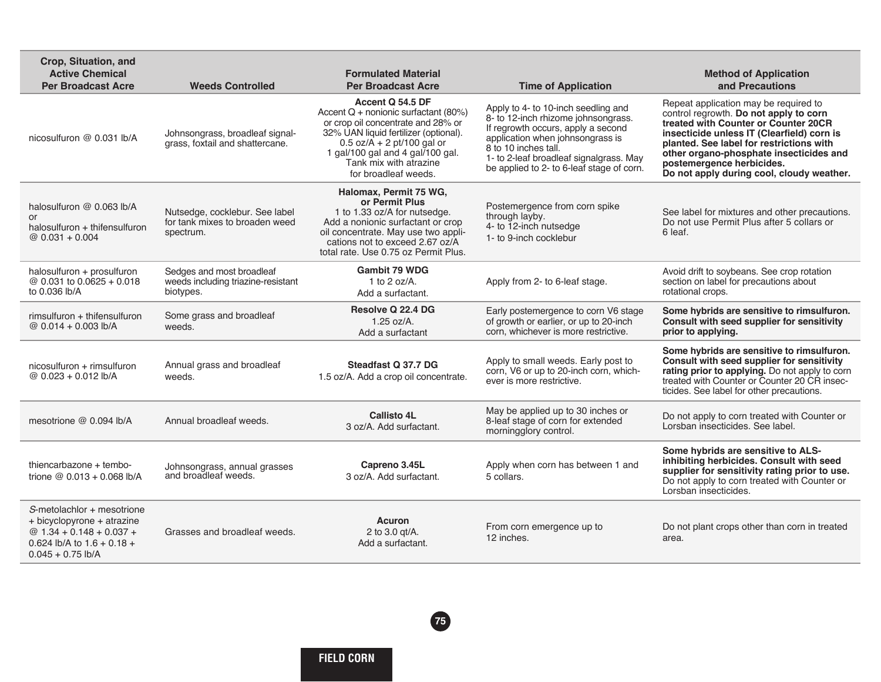| Crop, Situation, and<br><b>Active Chemical</b><br><b>Per Broadcast Acre</b>                                                                   | <b>Weeds Controlled</b>                                                       | <b>Formulated Material</b><br><b>Per Broadcast Acre</b>                                                                                                                                                                                                         | <b>Time of Application</b>                                                                                                                                                                                                                                           | <b>Method of Application</b><br>and Precautions                                                                                                                                                                                                                                                                                        |
|-----------------------------------------------------------------------------------------------------------------------------------------------|-------------------------------------------------------------------------------|-----------------------------------------------------------------------------------------------------------------------------------------------------------------------------------------------------------------------------------------------------------------|----------------------------------------------------------------------------------------------------------------------------------------------------------------------------------------------------------------------------------------------------------------------|----------------------------------------------------------------------------------------------------------------------------------------------------------------------------------------------------------------------------------------------------------------------------------------------------------------------------------------|
| nicosulfuron @ 0.031 lb/A                                                                                                                     | Johnsongrass, broadleaf signal-<br>grass, foxtail and shattercane.            | Accent Q 54.5 DF<br>Accent $Q$ + nonionic surfactant (80%)<br>or crop oil concentrate and 28% or<br>32% UAN liquid fertilizer (optional).<br>$0.5$ oz/A + 2 pt/100 gal or<br>1 gal/100 gal and 4 gal/100 gal.<br>Tank mix with atrazine<br>for broadleaf weeds. | Apply to 4- to 10-inch seedling and<br>8- to 12-inch rhizome johnsongrass.<br>If regrowth occurs, apply a second<br>application when johnsongrass is<br>8 to 10 inches tall.<br>1- to 2-leaf broadleaf signalgrass. May<br>be applied to 2- to 6-leaf stage of corn. | Repeat application may be required to<br>control regrowth. Do not apply to corn<br>treated with Counter or Counter 20CR<br>insecticide unless IT (Clearfield) corn is<br>planted. See label for restrictions with<br>other organo-phosphate insecticides and<br>postemergence herbicides.<br>Do not apply during cool, cloudy weather. |
| halosulfuron @ 0.063 lb/A<br>or<br>halosulfuron + thifensulfuron<br>$@0.031 + 0.004$                                                          | Nutsedge, cocklebur. See label<br>for tank mixes to broaden weed<br>spectrum. | Halomax, Permit 75 WG,<br>or Permit Plus<br>1 to 1.33 oz/A for nutsedge.<br>Add a nonionic surfactant or crop<br>oil concentrate. May use two appli-<br>cations not to exceed 2.67 oz/A<br>total rate. Use 0.75 oz Permit Plus.                                 | Postemergence from corn spike<br>through layby.<br>4- to 12-inch nutsedge<br>1- to 9-inch cocklebur                                                                                                                                                                  | See label for mixtures and other precautions.<br>Do not use Permit Plus after 5 collars or<br>6 leaf.                                                                                                                                                                                                                                  |
| halosulfuron + prosulfuron<br>@ 0.031 to 0.0625 + 0.018<br>to 0.036 lb/A                                                                      | Sedges and most broadleaf<br>weeds including triazine-resistant<br>biotypes.  | <b>Gambit 79 WDG</b><br>1 to 2 oz/ $A$ .<br>Add a surfactant.                                                                                                                                                                                                   | Apply from 2- to 6-leaf stage.                                                                                                                                                                                                                                       | Avoid drift to soybeans. See crop rotation<br>section on label for precautions about<br>rotational crops.                                                                                                                                                                                                                              |
| rimsulfuron + thifensulfuron<br>@ $0.014 + 0.003$ lb/A                                                                                        | Some grass and broadleaf<br>weeds.                                            | Resolve Q 22.4 DG<br>$1.25$ oz/A.<br>Add a surfactant                                                                                                                                                                                                           | Early postemergence to corn V6 stage<br>of growth or earlier, or up to 20-inch<br>corn, whichever is more restrictive.                                                                                                                                               | Some hybrids are sensitive to rimsulfuron.<br>Consult with seed supplier for sensitivity<br>prior to applying.                                                                                                                                                                                                                         |
| nicosulfuron + rimsulfuron<br>@ $0.023 + 0.012$ lb/A                                                                                          | Annual grass and broadleaf<br>weeds.                                          | Steadfast Q 37.7 DG<br>1.5 oz/A. Add a crop oil concentrate.                                                                                                                                                                                                    | Apply to small weeds. Early post to<br>corn, V6 or up to 20-inch corn, which-<br>ever is more restrictive.                                                                                                                                                           | Some hybrids are sensitive to rimsulfuron.<br>Consult with seed supplier for sensitivity<br>rating prior to applying. Do not apply to corn<br>treated with Counter or Counter 20 CR insec-<br>ticides. See label for other precautions.                                                                                                |
| mesotrione @ 0.094 lb/A                                                                                                                       | Annual broadleaf weeds.                                                       | <b>Callisto 4L</b><br>3 oz/A. Add surfactant.                                                                                                                                                                                                                   | May be applied up to 30 inches or<br>8-leaf stage of corn for extended<br>morningglory control.                                                                                                                                                                      | Do not apply to corn treated with Counter or<br>Lorsban insecticides. See label.                                                                                                                                                                                                                                                       |
| thiencarbazone + tembo-<br>trione $@ 0.013 + 0.068$ lb/A                                                                                      | Johnsongrass, annual grasses<br>and broadleaf weeds.                          | Capreno 3.45L<br>3 oz/A. Add surfactant.                                                                                                                                                                                                                        | Apply when corn has between 1 and<br>5 collars.                                                                                                                                                                                                                      | Some hybrids are sensitive to ALS-<br>inhibiting herbicides. Consult with seed<br>supplier for sensitivity rating prior to use.<br>Do not apply to corn treated with Counter or<br>Lorsban insecticides.                                                                                                                               |
| S-metolachlor + mesotrione<br>+ bicyclopyrone + atrazine<br>@ $1.34 + 0.148 + 0.037 +$<br>0.624 lb/A to $1.6 + 0.18 +$<br>$0.045 + 0.75$ lb/A | Grasses and broadleaf weeds.                                                  | <b>Acuron</b><br>2 to 3.0 gt/A.<br>Add a surfactant.                                                                                                                                                                                                            | From corn emergence up to<br>12 inches.                                                                                                                                                                                                                              | Do not plant crops other than corn in treated<br>area.                                                                                                                                                                                                                                                                                 |

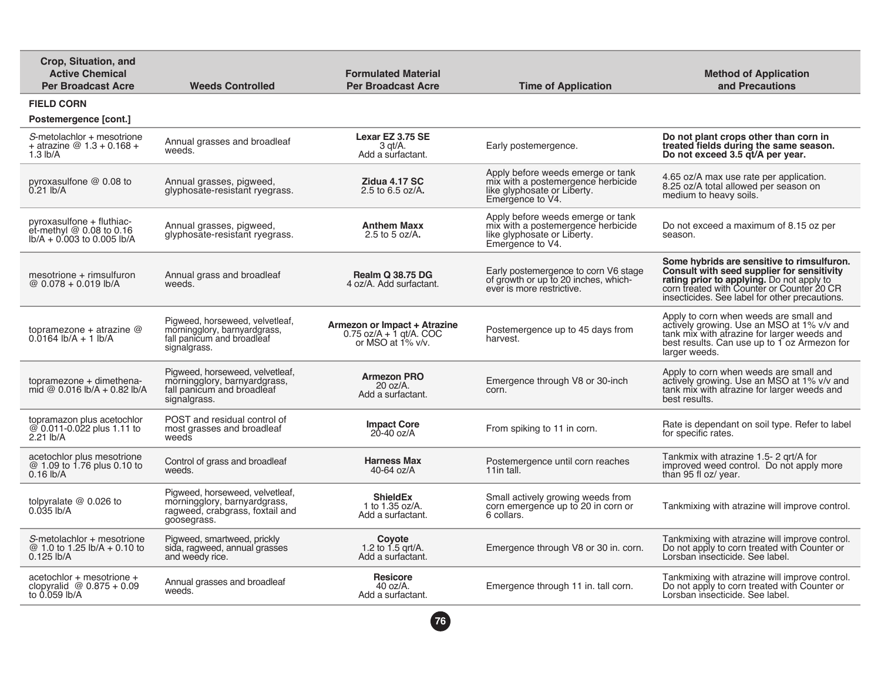| Crop, Situation, and<br><b>Active Chemical</b><br><b>Per Broadcast Acre</b>               | <b>Weeds Controlled</b>                                                                                           | <b>Formulated Material</b><br><b>Per Broadcast Acre</b>                           | <b>Time of Application</b>                                                                                                 | <b>Method of Application</b><br>and Precautions                                                                                                                                                                                       |
|-------------------------------------------------------------------------------------------|-------------------------------------------------------------------------------------------------------------------|-----------------------------------------------------------------------------------|----------------------------------------------------------------------------------------------------------------------------|---------------------------------------------------------------------------------------------------------------------------------------------------------------------------------------------------------------------------------------|
| <b>FIELD CORN</b>                                                                         |                                                                                                                   |                                                                                   |                                                                                                                            |                                                                                                                                                                                                                                       |
| Postemergence [cont.]                                                                     |                                                                                                                   |                                                                                   |                                                                                                                            |                                                                                                                                                                                                                                       |
| S-metolachlor + mesotrione<br>+ atrazine $@1.3 + 0.168 +$<br>$1.3$ lb/A                   | Annual grasses and broadleaf<br>weeds.                                                                            | Lexar EZ 3.75 SE<br>$3$ qt/A.<br>Add a surfactant.                                | Early postemergence.                                                                                                       | Do not plant crops other than corn in<br>treated fields during the same season.<br>Do not exceed 3.5 qt/A per year.                                                                                                                   |
| pyroxasulfone @ 0.08 to<br>0.21 lb/A                                                      | Annual grasses, pigweed,<br>glyphosate-resistant ryegrass.                                                        | Zidua 4.17 SC<br>2.5 to $6.5$ oz/A.                                               | Apply before weeds emerge or tank<br>mix with a postemergence herbicide<br>like glyphosate or Liberty.<br>Emergence to V4. | 4.65 oz/A max use rate per application.<br>8.25 oz/A total allowed per season on<br>medium to heavy soils.                                                                                                                            |
| pyroxasulfone + fluthiac-<br>et-methyl $@$ 0.08 to 0.16<br>$lb/A + 0.003$ to 0.005 $lb/A$ | Annual grasses, pigweed,<br>glyphosate-resistant ryegrass.                                                        | <b>Anthem Maxx</b><br>2.5 to 5 oz/A.                                              | Apply before weeds emerge or tank<br>mix with a postemergence herbicide<br>like glyphosate or Liberty.<br>Emergence to V4. | Do not exceed a maximum of 8.15 oz per<br>season.                                                                                                                                                                                     |
| $mesotrione + rimsulfuron$<br>@ 0.078 + 0.019 lb/A                                        | Annual grass and broadleaf<br>weeds.                                                                              | <b>Realm Q 38.75 DG</b><br>4 oz/A. Add surfactant.                                | Early postemergence to corn V6 stage<br>of growth or up to 20 inches, which-<br>ever is more restrictive.                  | Some hybrids are sensitive to rimsulfuron.<br>Consult with seed supplier for sensitivity<br>rating prior to applying. Do not apply to<br>corn treated with Counter or Counter 20 CR<br>insecticides. See label for other precautions. |
| topramezone + atrazine $@$<br>$0.0164$ lb/A + 1 lb/A                                      | Pigweed, horseweed, velvetleaf,<br>morningglory, barnyardgrass,<br>fall panicum and broadleaf<br>signalgrass.     | Armezon or Impact + Atrazine<br>$0.75$ oz/A + 1 gt/A. COC<br>or MSO at $1\%$ v/v. | Postemergence up to 45 days from<br>harvest.                                                                               | Apply to corn when weeds are small and<br>actively growing. Use an MSO at 1% v/v and<br>tank mix with atrazine for larger weeds and<br>best results. Can use up to 1 oz Armezon for<br>larger weeds.                                  |
| topramezone + dimethena-<br>mid @ $0.016$ lb/A + 0.82 lb/A                                | Pigweed, horseweed, velvetleaf,<br>morningglory, barnyardgrass,<br>fall panicum and broadleaf<br>signalgrass.     | <b>Armezon PRO</b><br>$20$ oz/A.<br>Add a surfactant.                             | Emergence through V8 or 30-inch<br>corn.                                                                                   | Apply to corn when weeds are small and<br>actively growing. Use an MSO at 1% v/v and<br>tank mix with atrazine for larger weeds and<br>best results.                                                                                  |
| topramazon plus acetochlor<br>@ 0.011-0.022 plus 1.11 to<br>2.21 lb/A                     | POST and residual control of<br>most grasses and broadleaf<br>weeds                                               | <b>Impact Core</b><br>$20 - 40$ oz/A                                              | From spiking to 11 in corn.                                                                                                | Rate is dependant on soil type. Refer to label<br>for specific rates.                                                                                                                                                                 |
| acetochlor plus mesotrione<br>@ 1.09 to 1.76 plus 0.10 to<br>$0.16$ lb/A                  | Control of grass and broadleaf<br>weeds.                                                                          | <b>Harness Max</b><br>40-64 oz/A                                                  | Postemergence until corn reaches<br>11in tall.                                                                             | Tankmix with atrazine 1.5-2 grt/A for<br>improved weed control. Do not apply more<br>than 95 fl oz/ year.                                                                                                                             |
| tolpyralate $@$ 0.026 to<br>$0.035$ lb/A                                                  | Pigweed, horseweed, velvetleaf,<br>morningglory, barnyardgrass,<br>ragweed, crabgrass, foxtail and<br>goosegrass. | <b>ShieldEx</b><br>1 to 1.35 oz/A.<br>Add a surfactant.                           | Small actively growing weeds from<br>corn emergence up to 20 in corn or<br>6 collars.                                      | Tankmixing with atrazine will improve control.                                                                                                                                                                                        |
| S-metolachlor + mesotrione<br>@ 1.0 to 1.25 lb/A + 0.10 to<br>$0.125$ lb/A                | Pigweed, smartweed, prickly<br>sida, ragweed, annual grasses<br>and weedy rice.                                   | Coyote<br>1.2 to 1.5 $grt/A$ .<br>Add a surfactant.                               | Emergence through V8 or 30 in. corn.                                                                                       | Tankmixing with atrazine will improve control.<br>Do not apply to corn treated with Counter or<br>Lorsban insecticide. See label.                                                                                                     |
| $acetochlor + mesotrione +$<br>clopyralid $@0.875 + 0.09$<br>to 0.059 lb/A                | Annual grasses and broadleaf<br>weeds.                                                                            | <b>Resicore</b><br>40 $oz/A$ .<br>Add a surfactant.                               | Emergence through 11 in. tall corn.                                                                                        | Tankmixing with atrazine will improve control.<br>Do not apply to corn treated with Counter or<br>Lorsban insecticide. See label.                                                                                                     |
|                                                                                           |                                                                                                                   | 76                                                                                |                                                                                                                            |                                                                                                                                                                                                                                       |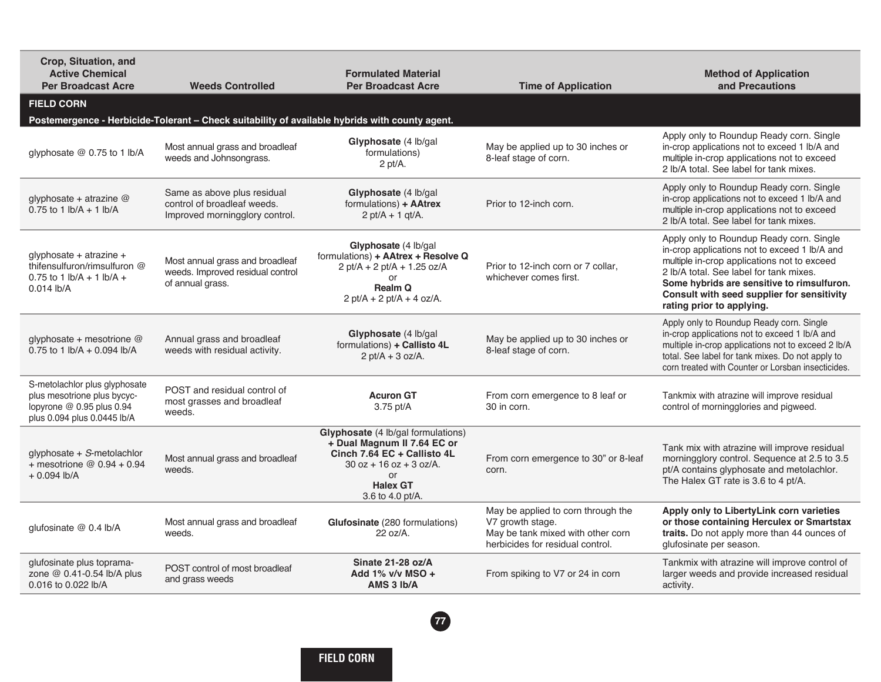| Crop, Situation, and<br><b>Active Chemical</b><br><b>Per Broadcast Acre</b>                                                    | <b>Weeds Controlled</b>                                                                        | <b>Formulated Material</b><br><b>Per Broadcast Acre</b>                                                                                                                                  | <b>Time of Application</b>                                                                                                      | <b>Method of Application</b><br>and Precautions                                                                                                                                                                                                                                                              |
|--------------------------------------------------------------------------------------------------------------------------------|------------------------------------------------------------------------------------------------|------------------------------------------------------------------------------------------------------------------------------------------------------------------------------------------|---------------------------------------------------------------------------------------------------------------------------------|--------------------------------------------------------------------------------------------------------------------------------------------------------------------------------------------------------------------------------------------------------------------------------------------------------------|
| <b>FIELD CORN</b>                                                                                                              |                                                                                                |                                                                                                                                                                                          |                                                                                                                                 |                                                                                                                                                                                                                                                                                                              |
|                                                                                                                                | Postemergence - Herbicide-Tolerant - Check suitability of available hybrids with county agent. |                                                                                                                                                                                          |                                                                                                                                 |                                                                                                                                                                                                                                                                                                              |
| glyphosate @ 0.75 to 1 lb/A                                                                                                    | Most annual grass and broadleaf<br>weeds and Johnsongrass.                                     | Glyphosate (4 lb/gal)<br>formulations)<br>$2$ pt/A.                                                                                                                                      | May be applied up to 30 inches or<br>8-leaf stage of corn.                                                                      | Apply only to Roundup Ready corn. Single<br>in-crop applications not to exceed 1 lb/A and<br>multiple in-crop applications not to exceed<br>2 lb/A total. See label for tank mixes.                                                                                                                          |
| glyphosate + atrazine @<br>0.75 to 1 $\frac{1}{2}$ h/A + 1 $\frac{1}{2}$ h/A                                                   | Same as above plus residual<br>control of broadleaf weeds.<br>Improved morningglory control.   | Glyphosate (4 lb/gal<br>formulations) + AAtrex<br>$2$ pt/A + 1 gt/A.                                                                                                                     | Prior to 12-inch corn.                                                                                                          | Apply only to Roundup Ready corn. Single<br>in-crop applications not to exceed 1 lb/A and<br>multiple in-crop applications not to exceed<br>2 lb/A total. See label for tank mixes.                                                                                                                          |
| glyphosate + atrazine +<br>thifensulfuron/rimsulfuron @<br>0.75 to 1 $\frac{1}{2}$ b/A + 1 $\frac{1}{2}$ b/A +<br>$0.014$ lb/A | Most annual grass and broadleaf<br>weeds. Improved residual control<br>of annual grass.        | Glyphosate (4 lb/gal<br>formulations) + AAtrex + Resolve Q<br>$2$ pt/A + 2 pt/A + 1.25 oz/A<br>or<br><b>Realm Q</b><br>$2$ pt/A + 2 pt/A + 4 oz/A.                                       | Prior to 12-inch corn or 7 collar,<br>whichever comes first.                                                                    | Apply only to Roundup Ready corn. Single<br>in-crop applications not to exceed 1 lb/A and<br>multiple in-crop applications not to exceed<br>2 lb/A total. See label for tank mixes.<br>Some hybrids are sensitive to rimsulfuron.<br>Consult with seed supplier for sensitivity<br>rating prior to applying. |
| glyphosate + mesotrione $@$<br>0.75 to 1 lb/A + 0.094 lb/A                                                                     | Annual grass and broadleaf<br>weeds with residual activity.                                    | Glyphosate (4 lb/gal<br>formulations) + Callisto 4L<br>$2$ pt/A + 3 oz/A.                                                                                                                | May be applied up to 30 inches or<br>8-leaf stage of corn.                                                                      | Apply only to Roundup Ready corn. Single<br>in-crop applications not to exceed 1 lb/A and<br>multiple in-crop applications not to exceed 2 lb/A<br>total. See label for tank mixes. Do not apply to<br>corn treated with Counter or Lorsban insecticides.                                                    |
| S-metolachlor plus glyphosate<br>plus mesotrione plus bycyc-<br>lopyrone @ 0.95 plus 0.94<br>plus 0.094 plus 0.0445 lb/A       | POST and residual control of<br>most grasses and broadleaf<br>weeds.                           | <b>Acuron GT</b><br>3.75 pt/A                                                                                                                                                            | From corn emergence to 8 leaf or<br>30 in corn.                                                                                 | Tankmix with atrazine will improve residual<br>control of morningglories and pigweed.                                                                                                                                                                                                                        |
| $q$ lyphosate + S-metolachlor<br>+ mesotrione $@$ 0.94 + 0.94<br>$+0.094$ lb/A                                                 | Most annual grass and broadleaf<br>weeds.                                                      | <b>Glyphosate</b> (4 lb/gal formulations)<br>+ Dual Magnum II 7.64 EC or<br>Cinch 7.64 EC + Callisto 4L<br>$30$ oz + 16 oz + 3 oz/A.<br><b>or</b><br><b>Halex GT</b><br>3.6 to 4.0 pt/A. | From corn emergence to 30" or 8-leaf<br>corn.                                                                                   | Tank mix with atrazine will improve residual<br>morningglory control. Sequence at 2.5 to 3.5<br>pt/A contains glyphosate and metolachlor.<br>The Halex GT rate is 3.6 to 4 pt/A.                                                                                                                             |
| qlufosinate $@$ 0.4 lb/A                                                                                                       | Most annual grass and broadleaf<br>weeds.                                                      | Glufosinate (280 formulations)<br>$22 oz/A$ .                                                                                                                                            | May be applied to corn through the<br>V7 growth stage.<br>May be tank mixed with other corn<br>herbicides for residual control. | Apply only to LibertyLink corn varieties<br>or those containing Herculex or Smartstax<br>traits. Do not apply more than 44 ounces of<br>glufosinate per season.                                                                                                                                              |
| glufosinate plus toprama-<br>zone @ 0.41-0.54 lb/A plus<br>0.016 to 0.022 lb/A                                                 | POST control of most broadleaf<br>and grass weeds                                              | Sinate 21-28 oz/A<br>Add $1\%$ v/v MSO +<br>AMS 3 Ib/A                                                                                                                                   | From spiking to V7 or 24 in corn                                                                                                | Tankmix with atrazine will improve control of<br>larger weeds and provide increased residual<br>activity.                                                                                                                                                                                                    |
|                                                                                                                                |                                                                                                |                                                                                                                                                                                          |                                                                                                                                 |                                                                                                                                                                                                                                                                                                              |